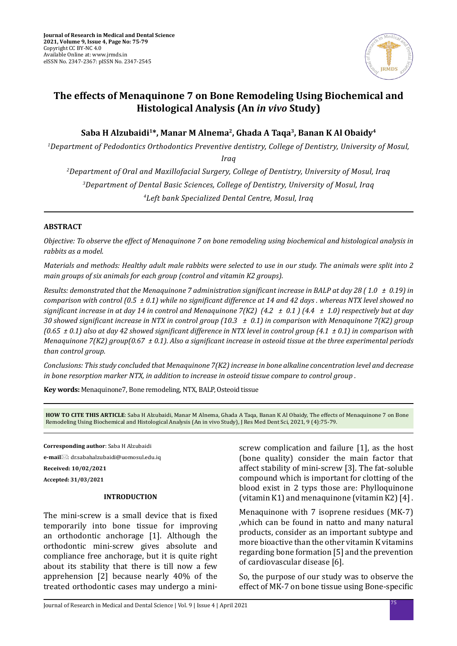

# **The effects of Menaquinone 7 on Bone Remodeling Using Biochemical and Histological Analysis (An** *in vivo* **Study)**

**Saba H Alzubaidi1\*, Manar M Alnema2, Ghada A Taqa3, Banan K Al Obaidy4**

*1 Department of Pedodontics Orthodontics Preventive dentistry, College of Dentistry, University of Mosul,* 

*Iraq* 

*2 Department of Oral and Maxillofacial Surgery, College of Dentistry, University of Mosul, Iraq 3 Department of Dental Basic Sciences, College of Dentistry, University of Mosul, Iraq 4 Left bank Specialized Dental Centre, Mosul, Iraq*

## **ABSTRACT**

*Objective: To observe the effect of Menaquinone 7 on bone remodeling using biochemical and histological analysis in rabbits as a model.* 

*Materials and methods: Healthy adult male rabbits were selected to use in our study. The animals were split into 2 main groups of six animals for each group (control and vitamin K2 groups).* 

*Results: demonstrated that the Menaquinone 7 administration significant increase in BALP at day 28 ( 1.0 ± 0.19) in comparison with control (0.5 ± 0.1) while no significant difference at 14 and 42 days . whereas NTX level showed no significant increase in at day 14 in control and Menaquinone 7(K2) (4.2 ± 0.1 ) (4.4 ± 1.0) respectively but at day 30 showed significant increase in NTX in control group (10.3 ± 0.1) in comparison with Menaquinone 7(K2) group (0.65 ± 0.1) also at day 42 showed significant difference in NTX level in control group (4.1 ± 0.1) in comparison with Menaquinone 7(K2) group(0.67 ± 0.1). Also a significant increase in osteoid tissue at the three experimental periods than control group.* 

*Conclusions: This study concluded that Menaquinone 7(K2) increase in bone alkaline concentration level and decrease in bone resorption marker NTX, in addition to increase in osteoid tissue compare to control group .*

**Key words:** Menaquinone7, Bone remodeling, NTX, BALP, Osteoid tissue

**HOW TO CITE THIS ARTICLE**: Saba H Alzubaidi, Manar M Alnema, Ghada A Taqa, Banan K Al Obaidy, The effects of Menaquinone 7 on Bone Remodeling Using Biochemical and Histological Analysis (An in vivo Study), J Res Med Dent Sci, 2021, 9 (4):75-79.

**Corresponding author**: Saba H Alzubaidi

**e-mail**: dr.sabahalzubaidi@uomosul.edu.iq

**Received: 10/02/2021**

**Accepted: 31/03/2021**

### **INTRODUCTION**

The mini-screw is a small device that is fixed temporarily into bone tissue for improving an orthodontic anchorage [1]. Although the orthodontic mini-screw gives absolute and compliance free anchorage, but it is quite right about its stability that there is till now a few apprehension [2] because nearly 40% of the treated orthodontic cases may undergo a miniscrew complication and failure [1], as the host (bone quality) consider the main factor that affect stability of mini-screw [3]. The fat-soluble compound which is important for clotting of the blood exist in 2 typs those are: Phylloquinone (vitamin K1) and menaquinone (vitamin K2) [4] .

Menaquinone with 7 isoprene residues (MK-7) ,which can be found in natto and many natural products, consider as an important subtype and more bioactive than the other vitamin K vitamins regarding bone formation [5] and the prevention of cardiovascular disease [6].

So, the purpose of our study was to observe the effect of MK-7 on bone tissue using Bone-specific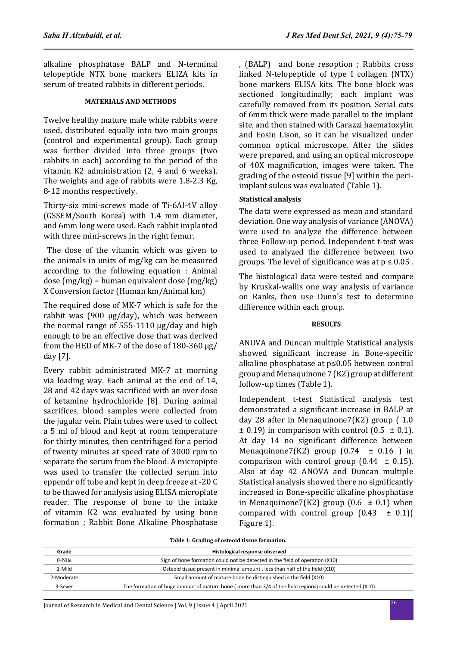alkaline phosphatase BALP and N-terminal telopeptide NTX bone markers ELIZA kits in serum of treated rabbits in different periods.

### **MATERIALS AND METHODS**

Twelve healthy mature male white rabbits were used, distributed equally into two main groups (control and experimental group). Each group was further divided into three groups (two rabbits in each) according to the period of the vitamin K2 administration (2, 4 and 6 weeks). The weights and age of rabbits were 1.8-2.3 Kg, 8-12 months respectively.

Thirty-six mini-screws made of Ti-6Al-4V alloy (GSSEM/South Korea) with 1.4 mm diameter, and 6mm long were used. Each rabbit implanted with three mini-screws in the right femur.

 The dose of the vitamin which was given to the animals in units of mg/kg can be measured according to the following equation : Animal dose (mg/kg) = human equivalent dose (mg/kg) X Conversion factor (Human km/Animal km)

The required dose of MK-7 which is safe for the rabbit was (900 μg/day), which was between the normal range of 555-1110 μg/day and high enough to be an effective dose that was derived from the HED of MK-7 of the dose of 180-360 μg/ day [7].

Every rabbit administrated MK-7 at morning via loading way. Each animal at the end of 14, 28 and 42 days was sacrificed with an over dose of ketamine hydrochloride [8]. During animal sacrifices, blood samples were collected from the jugular vein. Plain tubes were used to collect a 5 ml of blood and kept at room temperature for thirty minutes, then centrifuged for a period of twenty minutes at speed rate of 3000 rpm to separate the serum from the blood. A micropipte was used to transfer the collected serum into eppendr off tube and kept in deep freeze at -20 C to be thawed for analysis using ELISA microplate reader. The response of bone to the intake of vitamin K2 was evaluated by using bone formation ; Rabbit Bone Alkaline Phosphatase

, (BALP) and bone resoption ; Rabbits cross linked N-telopeptide of type I collagen (NTX) bone markers ELISA kits. The bone block was sectioned longitudinally; each implant was carefully removed from its position. Serial cuts of 6mm thick were made parallel to the implant site, and then stained with Carazzi haematoxylin and Eosin Lison, so it can be visualized under common optical microscope. After the slides were prepared, and using an optical microscope of 40X magnification, images were taken. The grading of the osteoid tissue [9] within the periimplant sulcus was evaluated (Table 1).

## **Statistical analysis**

The data were expressed as mean and standard deviation. One way analysis of variance (ANOVA) were used to analyze the difference between three Follow-up period. Independent t-test was used to analyzed the difference between two groups. The level of significance was at  $p \leq 0.05$ .

The histological data were tested and compare by Kruskal-wallis one way analysis of variance on Ranks, then use Dunn's test to determine difference within each group.

## **RESULTS**

ANOVA and Duncan multiple Statistical analysis showed significant increase in Bone-specific alkaline phosphatase at p≤0.05 between control group and Menaquinone 7 (K2) group at different follow-up times (Table 1).

Independent t-test Statistical analysis test demonstrated a significant increase in BALP at day 28 after in Menaquinone7(K2) group ( 1.0  $\pm$  0.19) in comparison with control (0.5  $\pm$  0.1). At day 14 no significant difference between Menaquinone7(K2) group  $(0.74 \pm 0.16)$  in comparison with control group  $(0.44 \pm 0.15)$ . Also at day 42 ANOVA and Duncan multiple Statistical analysis showed there no significantly increased in Bone-specific alkaline phosphatase in Menaquinone7(K2) group (0.6  $\pm$  0.1) when compared with control group  $(0.43 \pm 0.1)$ Figure 1).

| Grade      | Histological response observed                                                                           |  |
|------------|----------------------------------------------------------------------------------------------------------|--|
| 0-Nile     | Sign of bone formation could not be detected in the field of operation (X10)                             |  |
| 1-Mild     | Osteoid tissue present in minimal amount, less than half of the field (X10)                              |  |
| 2-Moderate | Small amount of mature bone be distinguished in the field (X10)                                          |  |
| 3-Sever    | The formation of huge amount of mature bone (more than 3/4 of the field regions) could be detected (X10) |  |

**Table 1: Grading of osteoid tissue formation.**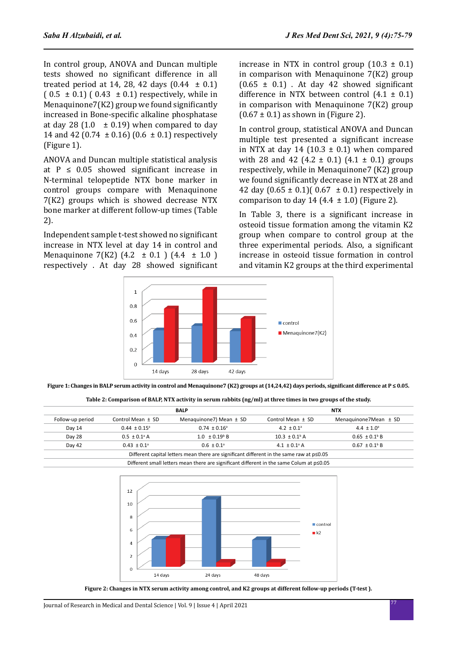In control group, ANOVA and Duncan multiple tests showed no significant difference in all treated period at 14, 28, 42 days  $(0.44 \pm 0.1)$  $(0.5 \pm 0.1)$   $(0.43 \pm 0.1)$  respectively, while in Menaquinone7(K2) group we found significantly increased in Bone-specific alkaline phosphatase at day 28 (1.0  $\pm$  0.19) when compared to day 14 and 42 (0.74  $\pm$  0.16) (0.6  $\pm$  0.1) respectively (Figure 1).

ANOVA and Duncan multiple statistical analysis at  $P \leq 0.05$  showed significant increase in N-terminal telopeptide NTX bone marker in control groups compare with Menaquinone 7(K2) groups which is showed decrease NTX bone marker at different follow-up times (Table 2).

Independent sample t-test showed no significant increase in NTX level at day 14 in control and Menaquinone 7(K2)  $(4.2 \pm 0.1)$   $(4.4 \pm 1.0)$ respectively . At day 28 showed significant increase in NTX in control group  $(10.3 \pm 0.1)$ in comparison with Menaquinone 7(K2) group  $(0.65 \pm 0.1)$ . At day 42 showed significant difference in NTX between control  $(4.1 \pm 0.1)$ in comparison with Menaquinone 7(K2) group  $(0.67 \pm 0.1)$  as shown in (Figure 2).

In control group, statistical ANOVA and Duncan multiple test presented a significant increase in NTX at day 14 (10.3  $\pm$  0.1) when compared with 28 and 42 (4.2  $\pm$  0.1) (4.1  $\pm$  0.1) groups respectively, while in Menaquinone7 (K2) group we found significantly decrease in NTX at 28 and 42 day  $(0.65 \pm 0.1)$   $(0.67 \pm 0.1)$  respectively in comparison to day 14 (4.4  $\pm$  1.0) (Figure 2).

In Table 3, there is a significant increase in osteoid tissue formation among the vitamin K2 group when compare to control group at the three experimental periods. Also, a significant increase in osteoid tissue formation in control and vitamin K2 groups at the third experimental



**Figure 1: Changes in BALP serum activity in control and Menaquinone7 (K2) groups at (14,24,42) days periods, significant difference at P ≤ 0.05.**

|  | Table 2: Comparison of BALP, NTX activity in serum rabbits (ng/ml) at three times in two groups of the study. |
|--|---------------------------------------------------------------------------------------------------------------|
|  |                                                                                                               |

| Follow-up period | <b>BALP</b>                  |                               | <b>NTX</b>                    |                               |
|------------------|------------------------------|-------------------------------|-------------------------------|-------------------------------|
|                  | Control Mean $\pm$ SD        | Menaguinone7) Mean $\pm$ SD   | Control Mean ± SD             | Menaguinone7Mean $\pm$ SD     |
| Day 14           | $0.44 \pm 0.15^{\circ}$      | $0.74 \pm 0.16^{\circ}$       | 4.2 $\pm$ 0.1 <sup>a</sup>    | $4.4 \pm 1.0^{\circ}$         |
| Day 28           | $0.5 \pm 0.1$ <sup>a</sup> A | $1.0 \pm 0.19$ <sup>b</sup> B | $10.3 \pm 0.1$ <sup>b</sup> A | $0.65 \pm 0.1$ <sup>b</sup> B |
| Day 42           | $0.43 \pm 0.1$ <sup>a</sup>  | $0.6 \pm 0.1$ <sup>a</sup>    | 4.1 $\pm$ 0.1 <sup>a</sup> A  | $0.67 \pm 0.1$ <sup>b</sup> B |

Different small letters mean there are significant different in the same Colum at p≤0.05



**Figure 2: Changes in NTX serum activity among control, and K2 groups at different follow-up periods (T-test ).**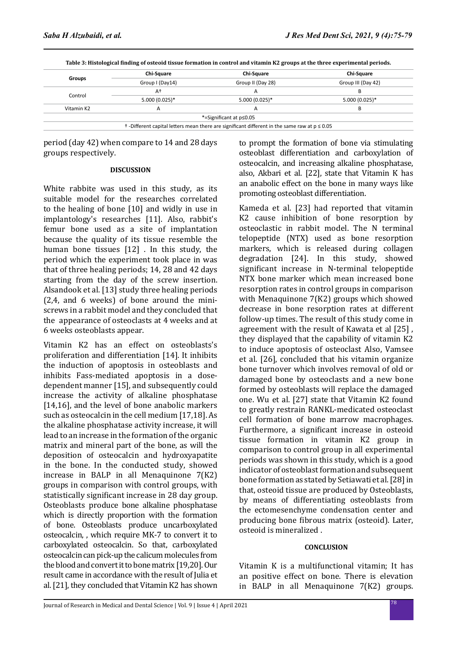|            | <b>Chi-Square</b> | <b>Chi-Square</b>       | <b>Chi-Square</b>  |
|------------|-------------------|-------------------------|--------------------|
| Groups     | Group I (Day14)   | Group II (Day 28)       | Group III (Day 42) |
|            | A†                | А                       | в                  |
| Control    | $5.000(0.025)*$   | 5.000 (0.025)*          | $5.000(0.025)*$    |
| Vitamin K2 |                   |                         | B                  |
|            |                   | *=Significant at p≤0.05 |                    |

**Table 3: Histological finding of osteoid tissue formation in control and vitamin K2 groups at the three experimental periods.**

period (day 42) when compare to 14 and 28 days groups respectively.

### **DISCUSSION**

White rabbite was used in this study, as its suitable model for the researches correlated to the healing of bone [10] and widly in use in implantology's researches [11]. Also, rabbit's femur bone used as a site of implantation because the quality of its tissue resemble the human bone tissues [12] . In this study, the period which the experiment took place in was that of three healing periods; 14, 28 and 42 days starting from the day of the screw insertion. Alsandook et al. [13] study three healing periods (2,4, and 6 weeks) of bone around the miniscrews in a rabbit model and they concluded that the appearance of osteoclasts at 4 weeks and at 6 weeks osteoblasts appear.

Vitamin K2 has an effect on osteoblasts's proliferation and differentiation [14]. It inhibits the induction of apoptosis in osteoblasts and inhibits Fass-mediated apoptosis in a dosedependent manner [15], and subsequently could increase the activity of alkaline phosphatase [14,16], and the level of bone anabolic markers such as osteocalcin in the cell medium [17,18]. As the alkaline phosphatase activity increase, it will lead to an increase in the formation of the organic matrix and mineral part of the bone, as will the deposition of osteocalcin and hydroxyapatite in the bone. In the conducted study, showed increase in BALP in all Menaquinone 7(K2) groups in comparison with control groups, with statistically significant increase in 28 day group. Osteoblasts produce bone alkaline phosphatase which is directly proportion with the formation of bone. Osteoblasts produce uncarboxylated osteocalcin, , which require MK-7 to convert it to carboxylated osteocalcin. So that, carboxylated osteocalcin can pick-up the calicum molecules from the blood and convert it to bone matrix [19,20]. Our result came in accordance with the result of Julia et al. [21], they concluded that Vitamin K2 has shown to prompt the formation of bone via stimulating osteoblast differentiation and carboxylation of osteocalcin, and increasing alkaline phosphatase, also, Akbari et al. [22], state that Vitamin K has an anabolic effect on the bone in many ways like promoting osteoblast differentiation.

Kameda et al. [23] had reported that vitamin K2 cause inhibition of bone resorption by osteoclastic in rabbit model. The N terminal telopeptide (NTX) used as bone resorption markers, which is released during collagen degradation [24]. In this study, showed significant increase in N-terminal telopeptide NTX bone marker which mean increased bone resorption rates in control groups in comparison with Menaquinone 7(K2) groups which showed decrease in bone resorption rates at different follow-up times. The result of this study come in agreement with the result of Kawata et al [25] , they displayed that the capability of vitamin K2 to induce apoptosis of osteoclast Also, Vamsee et al. [26], concluded that his vitamin organize bone turnover which involves removal of old or damaged bone by osteoclasts and a new bone formed by osteoblasts will replace the damaged one. Wu et al. [27] state that Vitamin K2 found to greatly restrain RANKL-medicated osteoclast cell formation of bone marrow macrophages. Furthermore, a significant increase in osteoid tissue formation in vitamin K2 group in comparison to control group in all experimental periods was shown in this study, which is a good indicator of osteoblast formation and subsequent bone formation as stated by Setiawati et al. [28] in that, osteoid tissue are produced by Osteoblasts, by means of differentiating osteoblasts from the ectomesenchyme condensation center and producing bone fibrous matrix (osteoid). Later, osteoid is mineralized .

## **CONCLUSION**

Vitamin K is a multifunctional vitamin; It has an positive effect on bone. There is elevation in BALP in all Menaquinone 7(K2) groups.